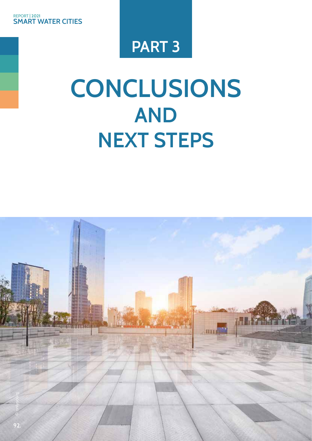## **PART 3**

## **CONCLUSIONS AND NEXT STEPS**

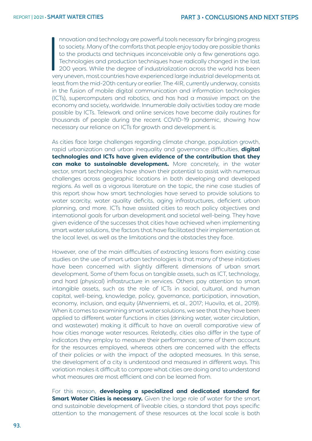$\begin{bmatrix} 1 \\ 1 \\ 1 \end{bmatrix}$ nnovation and technology are powerful tools necessary for bringing progress to society. Many of the comforts that people enjoy today are possible thanks to the products and techniques inconceivable only a few generations ago. Technologies and production techniques have radically changed in the last 200 years. While the degree of industrialization across the world has been very uneven, most countries have experienced large industrial developments at least from the mid-20th century or earlier. The 4IR, currently underway, consists in the fusion of mobile digital communication and information technologies (ICTs), supercomputers and robotics, and has had a massive impact on the economy and society, worldwide. Innumerable daily activities today are made possible by ICTs. Telework and online services have become daily routines for thousands of people during the recent COVID-19 pandemic, showing how necessary our reliance on ICTs for growth and development is.

As cities face large challenges regarding climate change, population growth, rapid urbanization and urban inequality and governance difficulties, **digital technologies and ICTs have given evidence of the contribution that they can make to sustainable development.** More concretely, in the water sector, smart technologies have shown their potential to assist with numerous challenges across geographic locations in both developing and developed regions. As well as a vigorous literature on the topic, the nine case studies of this report show how smart technologies have served to provide solutions to water scarcity, water quality deficits, aging infrastructures, deficient urban planning, and more. ICTs have assisted cities to reach policy objectives and international goals for urban development and societal well-being. They have given evidence of the successes that cities have achieved when implementing smart water solutions, the factors that have facilitated their implementation at the local level, as well as the limitations and the obstacles they face.

However, one of the main difficulties of extracting lessons from existing case studies on the use of smart urban technologies is that many of these initiatives have been concerned with slightly different dimensions of urban smart development. Some of them focus on tangible assets, such as ICT, technology, and hard (physical) infrastructure in services. Others pay attention to smart intangible assets, such as the role of ICTs in social, cultural, and human capital, well-being, knowledge, policy, governance, participation, innovation, economy, inclusion, and equity (Ahvenniemi, et al., 2017; Huovila, et al., 2019). When it comes to examining smart water solutions, we see that they have been applied to different water functions in cities (drinking water, water circulation, and wastewater) making it difficult to have an overall comparative view of how cities manage water resources. Relatedly, cities also differ in the type of indicators they employ to measure their performance; some of them account for the resources employed, whereas others are concerned with the effects of their policies or with the impact of the adopted measures. In this sense, the development of a city is understood and measured in different ways. This variation makes it difficult to compare what cities are doing and to understand what measures are most efficient and can be learned from.

For this reason, **developing a specialized and dedicated standard for Smart Water Cities is necessary.** Given the large role of water for the smart and sustainable development of liveable cities, a standard that pays specific attention to the management of these resources at the local scale is both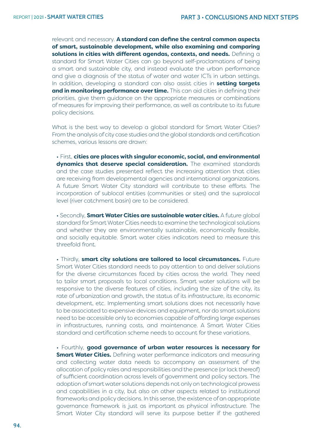relevant and necessary. **A standard can define the central common aspects of smart, sustainable development, while also examining and comparing solutions in cities with different agendas, contexts, and needs.** Defining a standard for Smart Water Cities can go beyond self-proclamations of being a smart and sustainable city, and instead evaluate the urban performance and give a diagnosis of the status of water and water ICTs in urban settings. In addition, developing a standard can also assist cities in **setting targets and in monitoring performance over time.** This can aid cities in defining their priorities, give them guidance on the appropriate measures or combinations of measures for improving their performance, as well as contribute to its future policy decisions.

What is the best way to develop a global standard for Smart Water Cities? From the analysis of city case studies and the global standards and certification schemes, various lessons are drawn:

• First, **cities are places with singular economic, social, and environmental dynamics that deserve special consideration.** The examined standards and the case studies presented reflect the increasing attention that cities are receiving from developmental agencies and international organizations. A future Smart Water City standard will contribute to these efforts. The incorporation of sublocal entities (communities or sites) and the supralocal level (river catchment basin) are to be considered.

• Secondly, **Smart Water Cities are sustainable water cities.** A future global standard for Smart Water Cities needs to examine the technological solutions and whether they are environmentally sustainable, economically feasible, and socially equitable. Smart water cities indicators need to measure this threefold front.

• Thirdly, **smart city solutions are tailored to local circumstances.** Future Smart Water Cities standard needs to pay attention to and deliver solutions for the diverse circumstances faced by cities across the world. They need to tailor smart proposals to local conditions. Smart water solutions will be responsive to the diverse features of cities, including the size of the city, its rate of urbanization and growth, the status of its infrastructure, its economic development, etc. Implementing smart solutions does not necessarily have to be associated to expensive devices and equipment, nor do smart solutions need to be accessible only to economies capable of affording large expenses in infrastructures, running costs, and maintenance. A Smart Water Cities standard and certification scheme needs to account for these variations.

• Fourthly, **good governance of urban water resources is necessary for Smart Water Cities.** Defining water performance indicators and measuring and collecting water data needs to accompany an assessment of the allocation of policy roles and responsibilities and the presence (or lack thereof) of sufficient coordination across levels of government and policy sectors. The adoption of smart water solutions depends not only on technological prowess and capabilities in a city, but also on other aspects related to institutional frameworks and policy decisions. In this sense, the existence of an appropriate governance framework is just as important as physical infrastructure. The Smart Water City standard will serve its purpose better if the gathered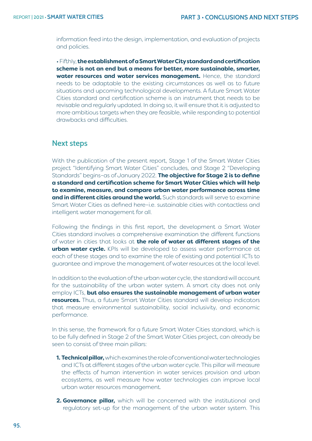information feed into the design, implementation, and evaluation of projects and policies.

• Fifthly, **the establishment of a Smart Water City standard and certification scheme is not an end but a means for better, more sustainable, smarter, water resources and water services management.** Hence, the standard needs to be adaptable to the existing circumstances as well as to future situations and upcoming technological developments. A future Smart Water Cities standard and certification scheme is an instrument that needs to be revisable and regularly updated. In doing so, it will ensure that it is adjusted to more ambitious targets when they are feasible, while responding to potential drawbacks and difficulties.

## **Next steps**

With the publication of the present report, Stage 1 of the Smart Water Cities project "Identifying Smart Water Cities" concludes, and Stage 2 "Developing Standards" begins–as of January 2022. **The objective for Stage 2 is to define a standard and certification scheme for Smart Water Cities which will help to examine, measure, and compare urban water performance across time and in different cities around the world.** Such standards will serve to examine Smart Water Cities as defined here–i.e. sustainable cities with contactless and intelligent water management for all.

Following the findings in this first report, the development a Smart Water Cities standard involves a comprehensive examination the different functions of water in cities that looks at **the role of water at different stages of the urban water cycle.** KPIs will be developed to assess water performance at each of these stages and to examine the role of existing and potential ICTs to guarantee and improve the management of water resources at the local level.

In addition to the evaluation of the urban water cycle, the standard will account for the sustainability of the urban water system. A smart city does not only employ ICTs, **but also ensures the sustainable management of urban water resources.** Thus, a future Smart Water Cities standard will develop indicators that measure environmental sustainability, social inclusivity, and economic performance.

In this sense, the framework for a future Smart Water Cities standard, which is to be fully defined in Stage 2 of the Smart Water Cities project, can already be seen to consist of three main pillars:

- **1. Technical pillar,** which examines the role of conventional water technologies and ICTs at different stages of the urban water cycle. This pillar will measure the effects of human intervention in water services provision and urban ecosystems, as well measure how water technologies can improve local urban water resources management.
- **2. Governance pillar,** which will be concerned with the institutional and regulatory set-up for the management of the urban water system. This